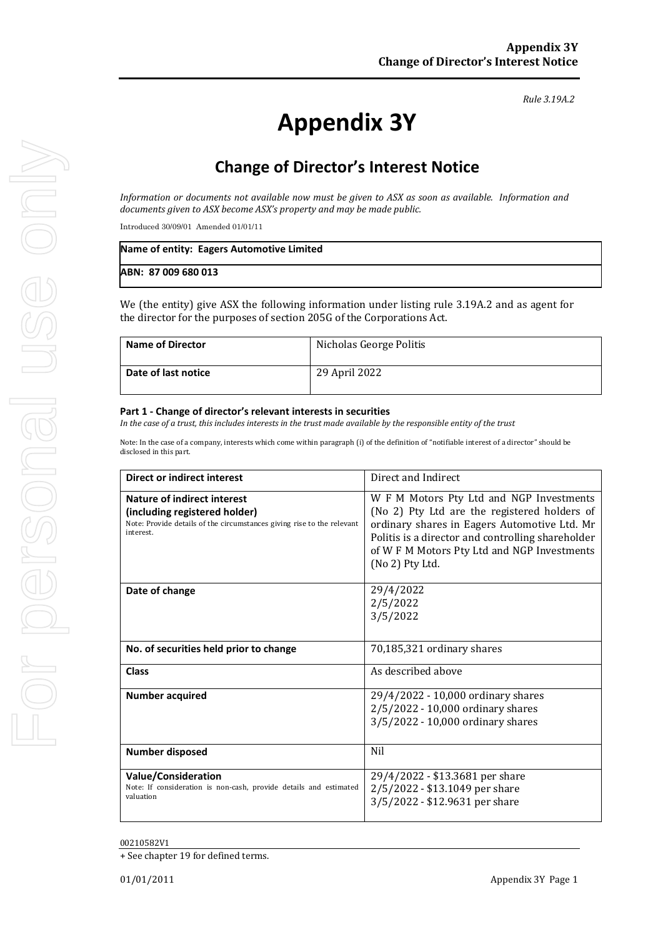#### *Rule 3.19A.2*

# **Appendix 3Y**

# **Change of Director's Interest Notice**

*Information or documents not available now must be given to ASX as soon as available. Information and documents given to ASX become ASX's property and may be made public.*

Introduced 30/09/01 Amended 01/01/11

| Name of entity: Eagers Automotive Limited |  |
|-------------------------------------------|--|
| ABN: 87 009 680 013                       |  |

We (the entity) give ASX the following information under listing rule 3.19A.2 and as agent for the director for the purposes of section 205G of the Corporations Act.

| <b>Name of Director</b> | Nicholas George Politis |
|-------------------------|-------------------------|
| Date of last notice     | 29 April 2022           |

#### **Part 1 - Change of director's relevant interests in securities**

*In the case of a trust, this includes interests in the trust made available by the responsible entity of the trust*

Note: In the case of a company, interests which come within paragraph (i) of the definition of "notifiable interest of a director" should be disclosed in this part.

| <b>Direct or indirect interest</b>                                                                                                                  | Direct and Indirect                                                                                                                                                                                                                                             |  |
|-----------------------------------------------------------------------------------------------------------------------------------------------------|-----------------------------------------------------------------------------------------------------------------------------------------------------------------------------------------------------------------------------------------------------------------|--|
| Nature of indirect interest<br>(including registered holder)<br>Note: Provide details of the circumstances giving rise to the relevant<br>interest. | W F M Motors Pty Ltd and NGP Investments<br>(No 2) Pty Ltd are the registered holders of<br>ordinary shares in Eagers Automotive Ltd. Mr<br>Politis is a director and controlling shareholder<br>of W F M Motors Pty Ltd and NGP Investments<br>(No 2) Pty Ltd. |  |
| Date of change                                                                                                                                      | 29/4/2022<br>2/5/2022<br>3/5/2022                                                                                                                                                                                                                               |  |
| No. of securities held prior to change                                                                                                              | 70,185,321 ordinary shares                                                                                                                                                                                                                                      |  |
| <b>Class</b>                                                                                                                                        | As described above                                                                                                                                                                                                                                              |  |
| <b>Number acquired</b>                                                                                                                              | 29/4/2022 - 10,000 ordinary shares<br>2/5/2022 - 10,000 ordinary shares<br>3/5/2022 - 10,000 ordinary shares                                                                                                                                                    |  |
| <b>Number disposed</b>                                                                                                                              | Nil                                                                                                                                                                                                                                                             |  |
| <b>Value/Consideration</b><br>Note: If consideration is non-cash, provide details and estimated<br>valuation                                        | 29/4/2022 - \$13.3681 per share<br>2/5/2022 - \$13.1049 per share<br>3/5/2022 - \$12.9631 per share                                                                                                                                                             |  |

#### 00210582V1

+ See chapter 19 for defined terms.